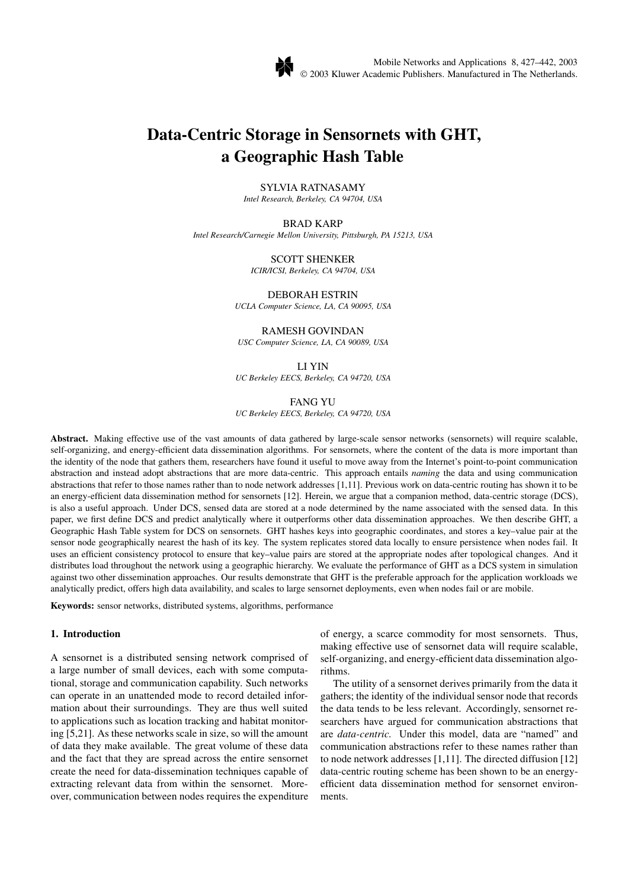

# **Data-Centric Storage in Sensornets with GHT, a Geographic Hash Table**

SYLVIA RATNASAMY

*Intel Research, Berkeley, CA 94704, USA*

BRAD KARP

*Intel Research/Carnegie Mellon University, Pittsburgh, PA 15213, USA*

SCOTT SHENKER *ICIR/ICSI, Berkeley, CA 94704, USA*

DEBORAH ESTRIN *UCLA Computer Science, LA, CA 90095, USA*

RAMESH GOVINDAN *USC Computer Science, LA, CA 90089, USA*

LI YIN *UC Berkeley EECS, Berkeley, CA 94720, USA*

FANG YU *UC Berkeley EECS, Berkeley, CA 94720, USA*

**Abstract.** Making effective use of the vast amounts of data gathered by large-scale sensor networks (sensornets) will require scalable, self-organizing, and energy-efficient data dissemination algorithms. For sensornets, where the content of the data is more important than the identity of the node that gathers them, researchers have found it useful to move away from the Internet's point-to-point communication abstraction and instead adopt abstractions that are more data-centric. This approach entails *naming* the data and using communication abstractions that refer to those names rather than to node network addresses [1,11]. Previous work on data-centric routing has shown it to be an energy-efficient data dissemination method for sensornets [12]. Herein, we argue that a companion method, data-centric storage (DCS), is also a useful approach. Under DCS, sensed data are stored at a node determined by the name associated with the sensed data. In this paper, we first define DCS and predict analytically where it outperforms other data dissemination approaches. We then describe GHT, a Geographic Hash Table system for DCS on sensornets. GHT hashes keys into geographic coordinates, and stores a key–value pair at the sensor node geographically nearest the hash of its key. The system replicates stored data locally to ensure persistence when nodes fail. It uses an efficient consistency protocol to ensure that key–value pairs are stored at the appropriate nodes after topological changes. And it distributes load throughout the network using a geographic hierarchy. We evaluate the performance of GHT as a DCS system in simulation against two other dissemination approaches. Our results demonstrate that GHT is the preferable approach for the application workloads we analytically predict, offers high data availability, and scales to large sensornet deployments, even when nodes fail or are mobile.

**Keywords:** sensor networks, distributed systems, algorithms, performance

#### **1. Introduction**

A sensornet is a distributed sensing network comprised of a large number of small devices, each with some computational, storage and communication capability. Such networks can operate in an unattended mode to record detailed information about their surroundings. They are thus well suited to applications such as location tracking and habitat monitoring [5,21]. As these networks scale in size, so will the amount of data they make available. The great volume of these data and the fact that they are spread across the entire sensornet create the need for data-dissemination techniques capable of extracting relevant data from within the sensornet. Moreover, communication between nodes requires the expenditure of energy, a scarce commodity for most sensornets. Thus, making effective use of sensornet data will require scalable, self-organizing, and energy-efficient data dissemination algorithms.

The utility of a sensornet derives primarily from the data it gathers; the identity of the individual sensor node that records the data tends to be less relevant. Accordingly, sensornet researchers have argued for communication abstractions that are *data-centric.* Under this model, data are "named" and communication abstractions refer to these names rather than to node network addresses [1,11]. The directed diffusion [12] data-centric routing scheme has been shown to be an energyefficient data dissemination method for sensornet environments.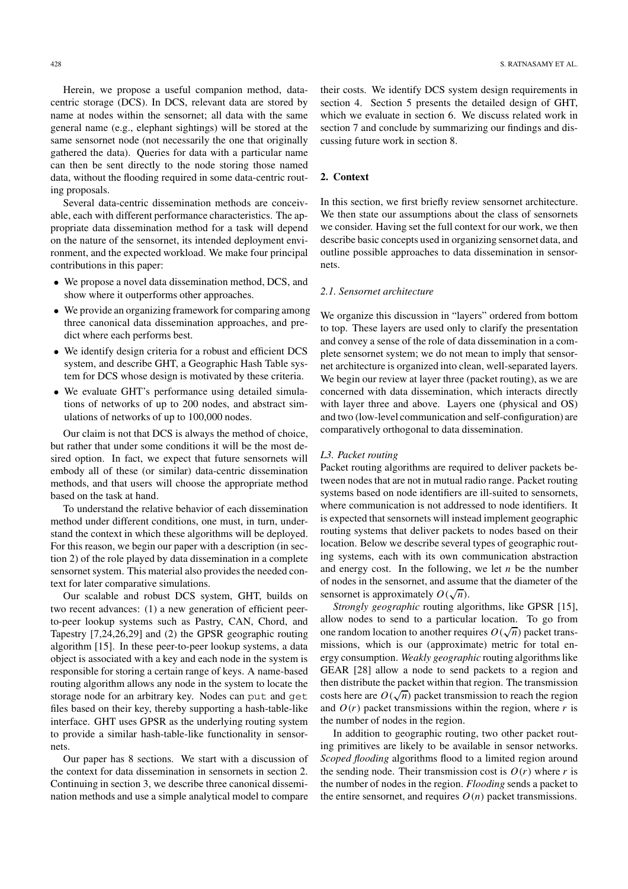Herein, we propose a useful companion method, datacentric storage (DCS). In DCS, relevant data are stored by name at nodes within the sensornet; all data with the same general name (e.g., elephant sightings) will be stored at the same sensornet node (not necessarily the one that originally

gathered the data). Queries for data with a particular name can then be sent directly to the node storing those named data, without the flooding required in some data-centric routing proposals. Several data-centric dissemination methods are conceiv-

able, each with different performance characteristics. The appropriate data dissemination method for a task will depend on the nature of the sensornet, its intended deployment environment, and the expected workload. We make four principal contributions in this paper:

- We propose a novel data dissemination method, DCS, and show where it outperforms other approaches.
- We provide an organizing framework for comparing among three canonical data dissemination approaches, and predict where each performs best.
- We identify design criteria for a robust and efficient DCS system, and describe GHT, a Geographic Hash Table system for DCS whose design is motivated by these criteria.
- We evaluate GHT's performance using detailed simulations of networks of up to 200 nodes, and abstract simulations of networks of up to 100,000 nodes.

Our claim is not that DCS is always the method of choice, but rather that under some conditions it will be the most desired option. In fact, we expect that future sensornets will embody all of these (or similar) data-centric dissemination methods, and that users will choose the appropriate method based on the task at hand.

To understand the relative behavior of each dissemination method under different conditions, one must, in turn, understand the context in which these algorithms will be deployed. For this reason, we begin our paper with a description (in section 2) of the role played by data dissemination in a complete sensornet system. This material also provides the needed context for later comparative simulations.

Our scalable and robust DCS system, GHT, builds on two recent advances: (1) a new generation of efficient peerto-peer lookup systems such as Pastry, CAN, Chord, and Tapestry [7,24,26,29] and (2) the GPSR geographic routing algorithm [15]. In these peer-to-peer lookup systems, a data object is associated with a key and each node in the system is responsible for storing a certain range of keys. A name-based routing algorithm allows any node in the system to locate the storage node for an arbitrary key. Nodes can put and get files based on their key, thereby supporting a hash-table-like interface. GHT uses GPSR as the underlying routing system to provide a similar hash-table-like functionality in sensornets.

Our paper has 8 sections. We start with a discussion of the context for data dissemination in sensornets in section 2. Continuing in section 3, we describe three canonical dissemination methods and use a simple analytical model to compare

their costs. We identify DCS system design requirements in section 4. Section 5 presents the detailed design of GHT, which we evaluate in section 6. We discuss related work in section 7 and conclude by summarizing our findings and discussing future work in section 8.

#### **2. Context**

In this section, we first briefly review sensornet architecture. We then state our assumptions about the class of sensornets we consider. Having set the full context for our work, we then describe basic concepts used in organizing sensornet data, and outline possible approaches to data dissemination in sensornets.

#### *2.1. Sensornet architecture*

We organize this discussion in "layers" ordered from bottom to top. These layers are used only to clarify the presentation and convey a sense of the role of data dissemination in a complete sensornet system; we do not mean to imply that sensornet architecture is organized into clean, well-separated layers. We begin our review at layer three (packet routing), as we are concerned with data dissemination, which interacts directly with layer three and above. Layers one (physical and OS) and two (low-level communication and self-configuration) are comparatively orthogonal to data dissemination.

#### *L3. Packet routing*

Packet routing algorithms are required to deliver packets between nodes that are not in mutual radio range. Packet routing systems based on node identifiers are ill-suited to sensornets, where communication is not addressed to node identifiers. It is expected that sensornets will instead implement geographic routing systems that deliver packets to nodes based on their location. Below we describe several types of geographic routing systems, each with its own communication abstraction and energy cost. In the following, we let *n* be the number of nodes in the sensornet, and assume that the diameter of the sensornet is approximately  $O(\sqrt{n})$ .

*Strongly geographic* routing algorithms, like GPSR [15], allow nodes to send to a particular location. To go from one random location to another requires  $O(\sqrt{n})$  packet transmissions, which is our (approximate) metric for total energy consumption. *Weakly geographic* routing algorithms like GEAR [28] allow a node to send packets to a region and then distribute the packet within that region. The transmission costs here are  $O(\sqrt{n})$  packet transmission to reach the region and  $O(r)$  packet transmissions within the region, where  $r$  is the number of nodes in the region.

In addition to geographic routing, two other packet routing primitives are likely to be available in sensor networks. *Scoped flooding* algorithms flood to a limited region around the sending node. Their transmission cost is  $O(r)$  where *r* is the number of nodes in the region. *Flooding* sends a packet to the entire sensornet, and requires  $O(n)$  packet transmissions.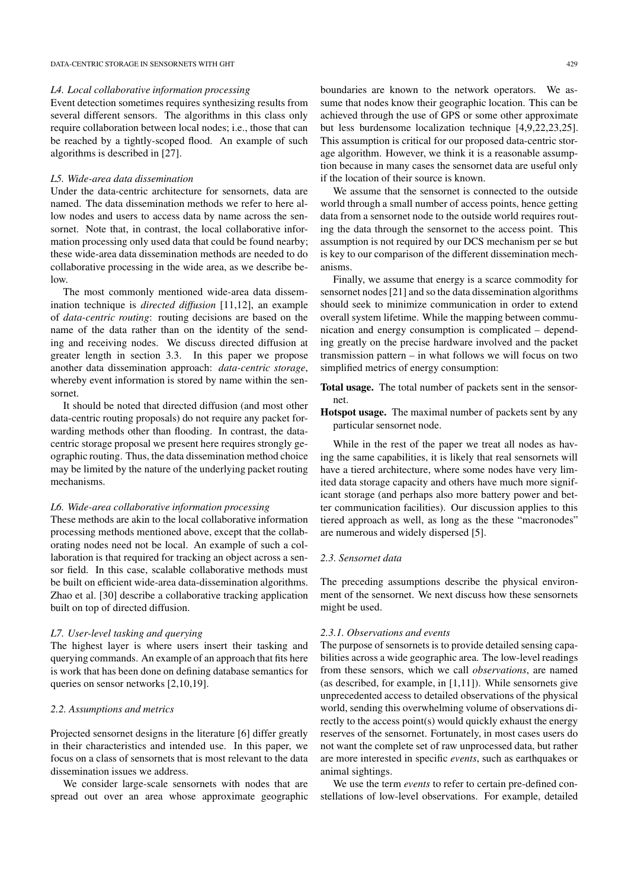#### *L4. Local collaborative information processing*

Event detection sometimes requires synthesizing results from several different sensors. The algorithms in this class only require collaboration between local nodes; i.e., those that can be reached by a tightly-scoped flood. An example of such algorithms is described in [27].

#### *L5. Wide-area data dissemination*

Under the data-centric architecture for sensornets, data are named. The data dissemination methods we refer to here allow nodes and users to access data by name across the sensornet. Note that, in contrast, the local collaborative information processing only used data that could be found nearby; these wide-area data dissemination methods are needed to do collaborative processing in the wide area, as we describe below.

The most commonly mentioned wide-area data dissemination technique is *directed diffusion* [11,12], an example of *data-centric routing*: routing decisions are based on the name of the data rather than on the identity of the sending and receiving nodes. We discuss directed diffusion at greater length in section 3.3. In this paper we propose another data dissemination approach: *data-centric storage*, whereby event information is stored by name within the sensornet.

It should be noted that directed diffusion (and most other data-centric routing proposals) do not require any packet forwarding methods other than flooding. In contrast, the datacentric storage proposal we present here requires strongly geographic routing. Thus, the data dissemination method choice may be limited by the nature of the underlying packet routing mechanisms.

#### *L6. Wide-area collaborative information processing*

These methods are akin to the local collaborative information processing methods mentioned above, except that the collaborating nodes need not be local. An example of such a collaboration is that required for tracking an object across a sensor field. In this case, scalable collaborative methods must be built on efficient wide-area data-dissemination algorithms. Zhao et al. [30] describe a collaborative tracking application built on top of directed diffusion.

#### *L7. User-level tasking and querying*

The highest layer is where users insert their tasking and querying commands. An example of an approach that fits here is work that has been done on defining database semantics for queries on sensor networks [2,10,19].

#### *2.2. Assumptions and metrics*

Projected sensornet designs in the literature [6] differ greatly in their characteristics and intended use. In this paper, we focus on a class of sensornets that is most relevant to the data dissemination issues we address.

We consider large-scale sensornets with nodes that are spread out over an area whose approximate geographic boundaries are known to the network operators. We assume that nodes know their geographic location. This can be achieved through the use of GPS or some other approximate but less burdensome localization technique [4,9,22,23,25]. This assumption is critical for our proposed data-centric storage algorithm. However, we think it is a reasonable assumption because in many cases the sensornet data are useful only if the location of their source is known.

We assume that the sensornet is connected to the outside world through a small number of access points, hence getting data from a sensornet node to the outside world requires routing the data through the sensornet to the access point. This assumption is not required by our DCS mechanism per se but is key to our comparison of the different dissemination mechanisms.

Finally, we assume that energy is a scarce commodity for sensornet nodes [21] and so the data dissemination algorithms should seek to minimize communication in order to extend overall system lifetime. While the mapping between communication and energy consumption is complicated – depending greatly on the precise hardware involved and the packet transmission pattern – in what follows we will focus on two simplified metrics of energy consumption:

- **Total usage.** The total number of packets sent in the sensornet.
- **Hotspot usage.** The maximal number of packets sent by any particular sensornet node.

While in the rest of the paper we treat all nodes as having the same capabilities, it is likely that real sensornets will have a tiered architecture, where some nodes have very limited data storage capacity and others have much more significant storage (and perhaps also more battery power and better communication facilities). Our discussion applies to this tiered approach as well, as long as the these "macronodes" are numerous and widely dispersed [5].

#### *2.3. Sensornet data*

The preceding assumptions describe the physical environment of the sensornet. We next discuss how these sensornets might be used.

#### *2.3.1. Observations and events*

The purpose of sensornets is to provide detailed sensing capabilities across a wide geographic area. The low-level readings from these sensors, which we call *observations*, are named (as described, for example, in [1,11]). While sensornets give unprecedented access to detailed observations of the physical world, sending this overwhelming volume of observations directly to the access point(s) would quickly exhaust the energy reserves of the sensornet. Fortunately, in most cases users do not want the complete set of raw unprocessed data, but rather are more interested in specific *events*, such as earthquakes or animal sightings.

We use the term *events* to refer to certain pre-defined constellations of low-level observations. For example, detailed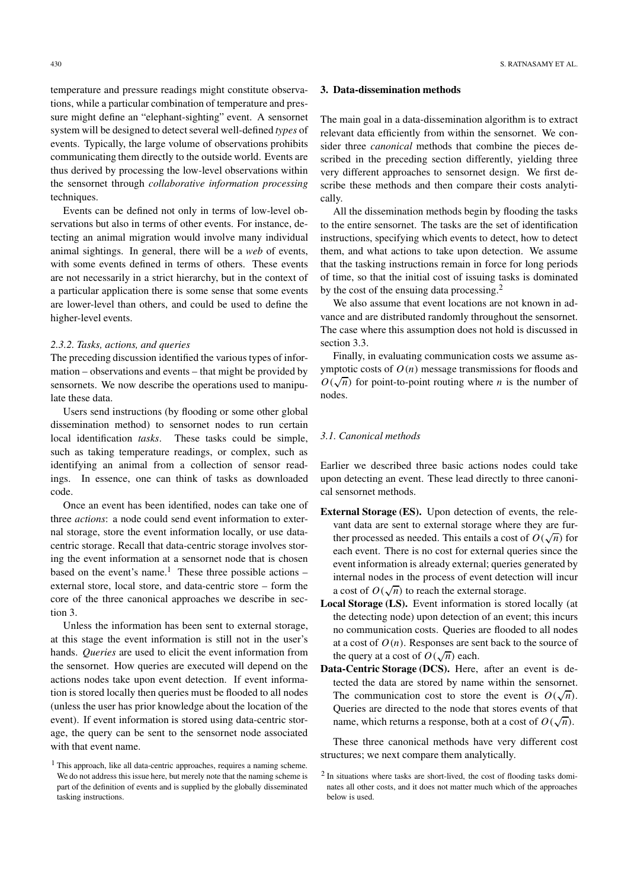temperature and pressure readings might constitute observations, while a particular combination of temperature and pressure might define an "elephant-sighting" event. A sensornet system will be designed to detect several well-defined *types* of events. Typically, the large volume of observations prohibits communicating them directly to the outside world. Events are thus derived by processing the low-level observations within the sensornet through *collaborative information processing* techniques.

Events can be defined not only in terms of low-level observations but also in terms of other events. For instance, detecting an animal migration would involve many individual animal sightings. In general, there will be a *web* of events, with some events defined in terms of others. These events are not necessarily in a strict hierarchy, but in the context of a particular application there is some sense that some events are lower-level than others, and could be used to define the higher-level events.

#### *2.3.2. Tasks, actions, and queries*

The preceding discussion identified the various types of information – observations and events – that might be provided by sensornets. We now describe the operations used to manipulate these data.

Users send instructions (by flooding or some other global dissemination method) to sensornet nodes to run certain local identification *tasks*. These tasks could be simple, such as taking temperature readings, or complex, such as identifying an animal from a collection of sensor readings. In essence, one can think of tasks as downloaded code.

Once an event has been identified, nodes can take one of three *actions*: a node could send event information to external storage, store the event information locally, or use datacentric storage. Recall that data-centric storage involves storing the event information at a sensornet node that is chosen based on the event's name.<sup>1</sup> These three possible actions – external store, local store, and data-centric store – form the core of the three canonical approaches we describe in section 3.

Unless the information has been sent to external storage, at this stage the event information is still not in the user's hands. *Queries* are used to elicit the event information from the sensornet. How queries are executed will depend on the actions nodes take upon event detection. If event information is stored locally then queries must be flooded to all nodes (unless the user has prior knowledge about the location of the event). If event information is stored using data-centric storage, the query can be sent to the sensornet node associated with that event name.

#### **3. Data-dissemination methods**

The main goal in a data-dissemination algorithm is to extract relevant data efficiently from within the sensornet. We consider three *canonical* methods that combine the pieces described in the preceding section differently, yielding three very different approaches to sensornet design. We first describe these methods and then compare their costs analytically.

All the dissemination methods begin by flooding the tasks to the entire sensornet. The tasks are the set of identification instructions, specifying which events to detect, how to detect them, and what actions to take upon detection. We assume that the tasking instructions remain in force for long periods of time, so that the initial cost of issuing tasks is dominated by the cost of the ensuing data processing.<sup>2</sup>

We also assume that event locations are not known in advance and are distributed randomly throughout the sensornet. The case where this assumption does not hold is discussed in section 3.3.

Finally, in evaluating communication costs we assume asymptotic costs of  $O(n)$  message transmissions for floods and  $O(\sqrt{n})$  for point-to-point routing where *n* is the number of nodes.

#### *3.1. Canonical methods*

Earlier we described three basic actions nodes could take upon detecting an event. These lead directly to three canonical sensornet methods.

- **External Storage (ES).** Upon detection of events, the relevant data are sent to external storage where they are further processed as needed. This entails a cost of  $O(\sqrt{n})$  for each event. There is no cost for external queries since the event information is already external; queries generated by internal nodes in the process of event detection will incur a cost of  $O(\sqrt{n})$  to reach the external storage.
- **Local Storage (LS).** Event information is stored locally (at the detecting node) upon detection of an event; this incurs no communication costs. Queries are flooded to all nodes at a cost of  $O(n)$ . Responses are sent back to the source of the query at a cost of  $O(\sqrt{n})$  each.
- **Data-Centric Storage (DCS).** Here, after an event is detected the data are stored by name within the sensornet. The communication cost to store the event is  $O(\sqrt{n})$ . Queries are directed to the node that stores events of that name, which returns a response, both at a cost of  $O(\sqrt{n})$ .

These three canonical methods have very different cost structures; we next compare them analytically.

<sup>1</sup> This approach, like all data-centric approaches, requires a naming scheme. We do not address this issue here, but merely note that the naming scheme is part of the definition of events and is supplied by the globally disseminated tasking instructions.

<sup>&</sup>lt;sup>2</sup> In situations where tasks are short-lived, the cost of flooding tasks dominates all other costs, and it does not matter much which of the approaches below is used.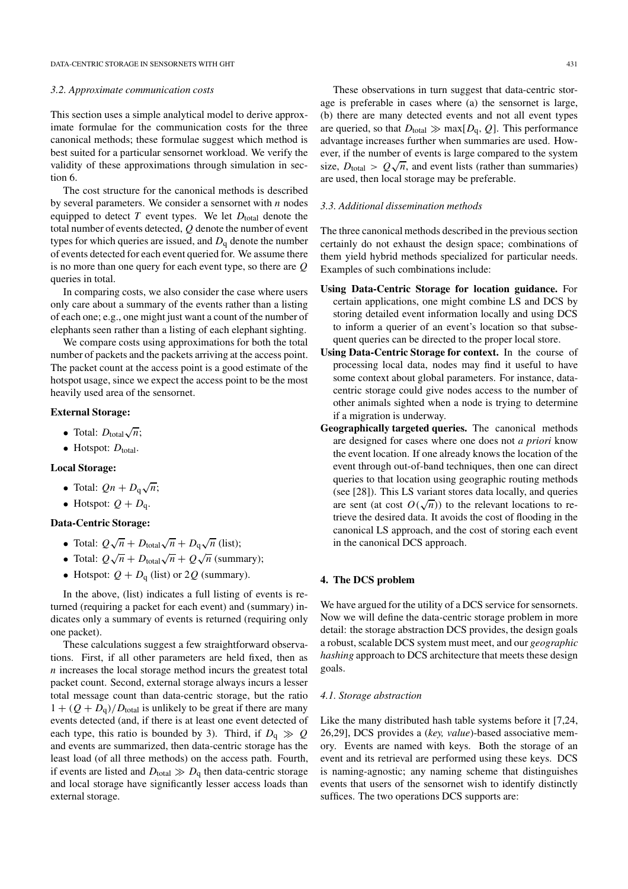#### *3.2. Approximate communication costs*

This section uses a simple analytical model to derive approximate formulae for the communication costs for the three canonical methods; these formulae suggest which method is best suited for a particular sensornet workload. We verify the validity of these approximations through simulation in section 6.

The cost structure for the canonical methods is described by several parameters. We consider a sensornet with *n* nodes equipped to detect  $T$  event types. We let  $D_{total}$  denote the total number of events detected, *Q* denote the number of event types for which queries are issued, and *D*<sup>q</sup> denote the number of events detected for each event queried for. We assume there is no more than one query for each event type, so there are *Q* queries in total.

In comparing costs, we also consider the case where users only care about a summary of the events rather than a listing of each one; e.g., one might just want a count of the number of elephants seen rather than a listing of each elephant sighting.

We compare costs using approximations for both the total number of packets and the packets arriving at the access point. The packet count at the access point is a good estimate of the hotspot usage, since we expect the access point to be the most heavily used area of the sensornet.

### **External Storage:**

- Total:  $D_{total}\sqrt{n}$ ;
- $\bullet$  Hotspot:  $D_{total}$ .

#### **Local Storage:**

- Total:  $Qn + D_q\sqrt{n}$ ;
- Hotspot:  $Q + D<sub>a</sub>$ .

#### **Data-Centric Storage:**

- Total:  $Q\sqrt{n} + D_{\text{total}}\sqrt{n} + D_q\sqrt{n}$  (list);
- Total:  $Q\sqrt{n} + D_{\text{total}}\sqrt{n} + Q\sqrt{n}$  (summary);
- Hotspot:  $Q + D_q$  (list) or 2*Q* (summary).

In the above, (list) indicates a full listing of events is returned (requiring a packet for each event) and (summary) indicates only a summary of events is returned (requiring only one packet).

These calculations suggest a few straightforward observations. First, if all other parameters are held fixed, then as *n* increases the local storage method incurs the greatest total packet count. Second, external storage always incurs a lesser total message count than data-centric storage, but the ratio  $1 + (Q + D_q)/D_{total}$  is unlikely to be great if there are many events detected (and, if there is at least one event detected of each type, this ratio is bounded by 3). Third, if  $D_q \gg Q$ and events are summarized, then data-centric storage has the least load (of all three methods) on the access path. Fourth, if events are listed and  $D_{\text{total}} \gg D_q$  then data-centric storage and local storage have significantly lesser access loads than external storage.

These observations in turn suggest that data-centric storage is preferable in cases where (a) the sensornet is large, (b) there are many detected events and not all event types are queried, so that  $D_{total} \gg max[D_q, Q]$ . This performance advantage increases further when summaries are used. However, if the number of events is large compared to the system size,  $D_{\text{total}} > Q\sqrt{n}$ , and event lists (rather than summaries) are used, then local storage may be preferable.

#### *3.3. Additional dissemination methods*

The three canonical methods described in the previous section certainly do not exhaust the design space; combinations of them yield hybrid methods specialized for particular needs. Examples of such combinations include:

- **Using Data-Centric Storage for location guidance.** For certain applications, one might combine LS and DCS by storing detailed event information locally and using DCS to inform a querier of an event's location so that subsequent queries can be directed to the proper local store.
- **Using Data-Centric Storage for context.** In the course of processing local data, nodes may find it useful to have some context about global parameters. For instance, datacentric storage could give nodes access to the number of other animals sighted when a node is trying to determine if a migration is underway.
- **Geographically targeted queries.** The canonical methods are designed for cases where one does not *a priori* know the event location. If one already knows the location of the event through out-of-band techniques, then one can direct queries to that location using geographic routing methods (see [28]). This LS variant stores data locally, and queries are sent (at cost  $O(\sqrt{n})$ ) to the relevant locations to retrieve the desired data. It avoids the cost of flooding in the canonical LS approach, and the cost of storing each event in the canonical DCS approach.

#### **4. The DCS problem**

We have argued for the utility of a DCS service for sensornets. Now we will define the data-centric storage problem in more detail: the storage abstraction DCS provides, the design goals a robust, scalable DCS system must meet, and our *geographic hashing* approach to DCS architecture that meets these design goals.

#### *4.1. Storage abstraction*

Like the many distributed hash table systems before it [7,24, 26,29], DCS provides a (*key, value*)-based associative memory. Events are named with keys. Both the storage of an event and its retrieval are performed using these keys. DCS is naming-agnostic; any naming scheme that distinguishes events that users of the sensornet wish to identify distinctly suffices. The two operations DCS supports are: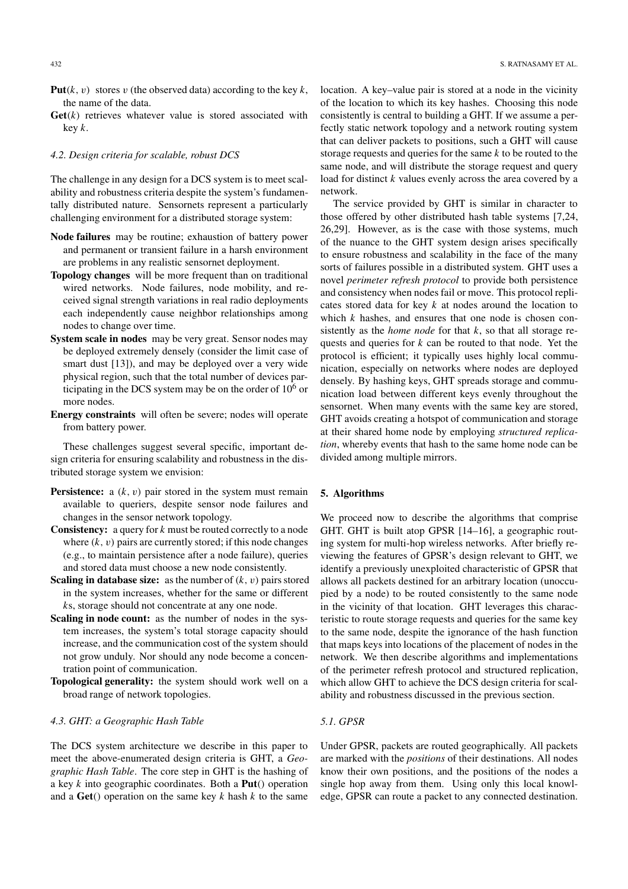- **Put** $(k, v)$  stores *v* (the observed data) according to the key  $k$ , the name of the data.
- **Get***(k)* retrieves whatever value is stored associated with key *k*.

#### *4.2. Design criteria for scalable, robust DCS*

The challenge in any design for a DCS system is to meet scalability and robustness criteria despite the system's fundamentally distributed nature. Sensornets represent a particularly challenging environment for a distributed storage system:

- **Node failures** may be routine; exhaustion of battery power and permanent or transient failure in a harsh environment are problems in any realistic sensornet deployment.
- **Topology changes** will be more frequent than on traditional wired networks. Node failures, node mobility, and received signal strength variations in real radio deployments each independently cause neighbor relationships among nodes to change over time.
- **System scale in nodes** may be very great. Sensor nodes may be deployed extremely densely (consider the limit case of smart dust [13]), and may be deployed over a very wide physical region, such that the total number of devices participating in the DCS system may be on the order of  $10<sup>6</sup>$  or more nodes.
- **Energy constraints** will often be severe; nodes will operate from battery power.

These challenges suggest several specific, important design criteria for ensuring scalability and robustness in the distributed storage system we envision:

- **Persistence:** a  $(k, v)$  pair stored in the system must remain available to queriers, despite sensor node failures and changes in the sensor network topology.
- **Consistency:** a query for *k* must be routed correctly to a node where  $(k, v)$  pairs are currently stored; if this node changes (e.g., to maintain persistence after a node failure), queries and stored data must choose a new node consistently.
- **Scaling in database size:** as the number of  $(k, v)$  pairs stored in the system increases, whether for the same or different *k*s, storage should not concentrate at any one node.
- **Scaling in node count:** as the number of nodes in the system increases, the system's total storage capacity should increase, and the communication cost of the system should not grow unduly. Nor should any node become a concentration point of communication.
- **Topological generality:** the system should work well on a broad range of network topologies.

#### *4.3. GHT: a Geographic Hash Table*

The DCS system architecture we describe in this paper to meet the above-enumerated design criteria is GHT, a *Geographic Hash Table*. The core step in GHT is the hashing of a key *k* into geographic coordinates. Both a **Put***()* operation and a  $\text{Get}()$  operation on the same key  $k$  hash  $k$  to the same

location. A key–value pair is stored at a node in the vicinity of the location to which its key hashes. Choosing this node consistently is central to building a GHT. If we assume a perfectly static network topology and a network routing system that can deliver packets to positions, such a GHT will cause storage requests and queries for the same *k* to be routed to the same node, and will distribute the storage request and query load for distinct *k* values evenly across the area covered by a network.

The service provided by GHT is similar in character to those offered by other distributed hash table systems [7,24, 26,29]. However, as is the case with those systems, much of the nuance to the GHT system design arises specifically to ensure robustness and scalability in the face of the many sorts of failures possible in a distributed system. GHT uses a novel *perimeter refresh protocol* to provide both persistence and consistency when nodes fail or move. This protocol replicates stored data for key *k* at nodes around the location to which *k* hashes, and ensures that one node is chosen consistently as the *home node* for that *k*, so that all storage requests and queries for *k* can be routed to that node. Yet the protocol is efficient; it typically uses highly local communication, especially on networks where nodes are deployed densely. By hashing keys, GHT spreads storage and communication load between different keys evenly throughout the sensornet. When many events with the same key are stored, GHT avoids creating a hotspot of communication and storage at their shared home node by employing *structured replication*, whereby events that hash to the same home node can be divided among multiple mirrors.

#### **5. Algorithms**

We proceed now to describe the algorithms that comprise GHT. GHT is built atop GPSR [14–16], a geographic routing system for multi-hop wireless networks. After briefly reviewing the features of GPSR's design relevant to GHT, we identify a previously unexploited characteristic of GPSR that allows all packets destined for an arbitrary location (unoccupied by a node) to be routed consistently to the same node in the vicinity of that location. GHT leverages this characteristic to route storage requests and queries for the same key to the same node, despite the ignorance of the hash function that maps keys into locations of the placement of nodes in the network. We then describe algorithms and implementations of the perimeter refresh protocol and structured replication, which allow GHT to achieve the DCS design criteria for scalability and robustness discussed in the previous section.

## *5.1. GPSR*

Under GPSR, packets are routed geographically. All packets are marked with the *positions* of their destinations. All nodes know their own positions, and the positions of the nodes a single hop away from them. Using only this local knowledge, GPSR can route a packet to any connected destination.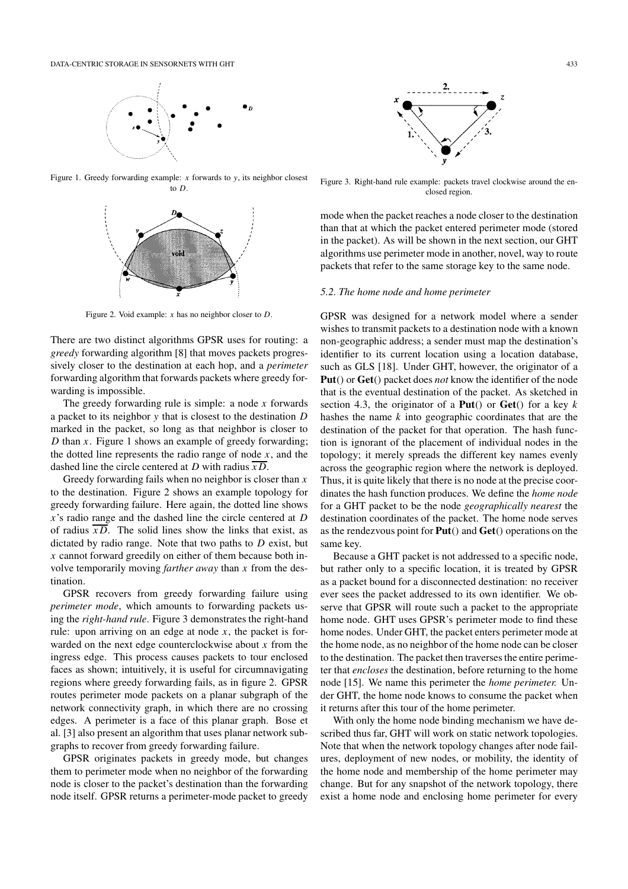

Figure 1. Greedy forwarding example:  $x$  forwards to  $y$ , its neighbor closest to *D*.



Figure 2. Void example: *x* has no neighbor closer to *D*.

There are two distinct algorithms GPSR uses for routing: a *greedy* forwarding algorithm [8] that moves packets progressively closer to the destination at each hop, and a *perimeter* forwarding algorithm that forwards packets where greedy forwarding is impossible.

The greedy forwarding rule is simple: a node *x* forwards a packet to its neighbor *y* that is closest to the destination *D* marked in the packet, so long as that neighbor is closer to *D* than *x*. Figure 1 shows an example of greedy forwarding; the dotted line represents the radio range of node *x*, and the dashed line the circle centered at *D* with radius *xD*.

Greedy forwarding fails when no neighbor is closer than *x* to the destination. Figure 2 shows an example topology for greedy forwarding failure. Here again, the dotted line shows *x*'s radio range and the dashed line the circle centered at *D* of radius  $\overline{xD}$ . The solid lines show the links that exist, as dictated by radio range. Note that two paths to *D* exist, but *x* cannot forward greedily on either of them because both involve temporarily moving *farther away* than *x* from the destination.

GPSR recovers from greedy forwarding failure using *perimeter mode*, which amounts to forwarding packets using the *right-hand rule*. Figure 3 demonstrates the right-hand rule: upon arriving on an edge at node *x*, the packet is forwarded on the next edge counterclockwise about *x* from the ingress edge. This process causes packets to tour enclosed faces as shown; intuitively, it is useful for circumnavigating regions where greedy forwarding fails, as in figure 2. GPSR routes perimeter mode packets on a planar subgraph of the network connectivity graph, in which there are no crossing edges. A perimeter is a face of this planar graph. Bose et al. [3] also present an algorithm that uses planar network subgraphs to recover from greedy forwarding failure.

GPSR originates packets in greedy mode, but changes them to perimeter mode when no neighbor of the forwarding node is closer to the packet's destination than the forwarding node itself. GPSR returns a perimeter-mode packet to greedy



Figure 3. Right-hand rule example: packets travel clockwise around the enclosed region.

mode when the packet reaches a node closer to the destination than that at which the packet entered perimeter mode (stored in the packet). As will be shown in the next section, our GHT algorithms use perimeter mode in another, novel, way to route packets that refer to the same storage key to the same node.

#### *5.2. The home node and home perimeter*

GPSR was designed for a network model where a sender wishes to transmit packets to a destination node with a known non-geographic address; a sender must map the destination's identifier to its current location using a location database, such as GLS [18]. Under GHT, however, the originator of a **Put***()* or **Get***()* packet does *not* know the identifier of the node that is the eventual destination of the packet. As sketched in section 4.3, the originator of a **Put***()* or **Get***()* for a key *k* hashes the name *k* into geographic coordinates that are the destination of the packet for that operation. The hash function is ignorant of the placement of individual nodes in the topology; it merely spreads the different key names evenly across the geographic region where the network is deployed. Thus, it is quite likely that there is no node at the precise coordinates the hash function produces. We define the *home node* for a GHT packet to be the node *geographically nearest* the destination coordinates of the packet. The home node serves as the rendezvous point for **Put***()* and **Get***()* operations on the same key.

Because a GHT packet is not addressed to a specific node, but rather only to a specific location, it is treated by GPSR as a packet bound for a disconnected destination: no receiver ever sees the packet addressed to its own identifier. We observe that GPSR will route such a packet to the appropriate home node. GHT uses GPSR's perimeter mode to find these home nodes. Under GHT, the packet enters perimeter mode at the home node, as no neighbor of the home node can be closer to the destination. The packet then traverses the entire perimeter that *encloses* the destination, before returning to the home node [15]. We name this perimeter the *home perimeter.* Under GHT, the home node knows to consume the packet when it returns after this tour of the home perimeter.

With only the home node binding mechanism we have described thus far, GHT will work on static network topologies. Note that when the network topology changes after node failures, deployment of new nodes, or mobility, the identity of the home node and membership of the home perimeter may change. But for any snapshot of the network topology, there exist a home node and enclosing home perimeter for every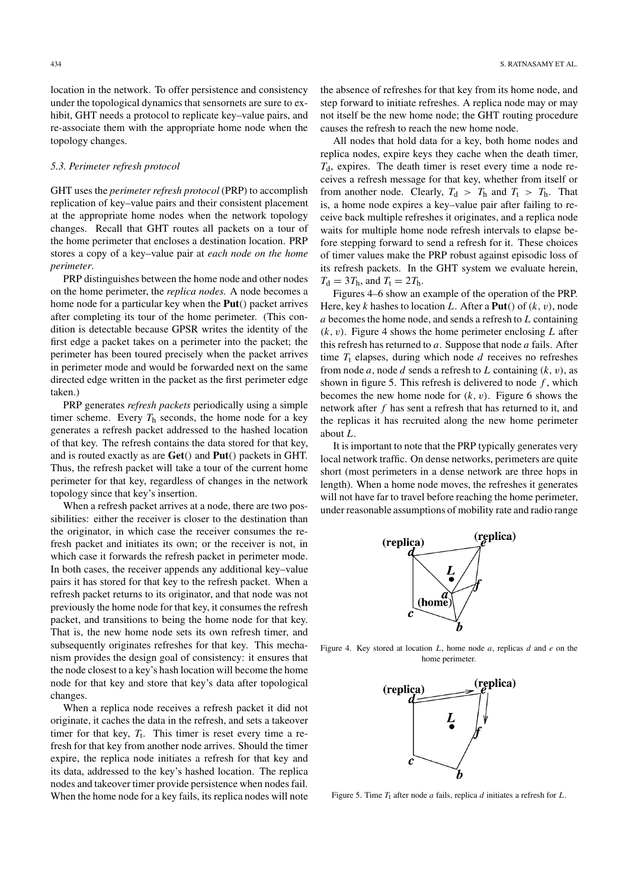location in the network. To offer persistence and consistency under the topological dynamics that sensornets are sure to ex-

#### *5.3. Perimeter refresh protocol*

topology changes.

GHT uses the *perimeter refresh protocol* (PRP) to accomplish replication of key–value pairs and their consistent placement at the appropriate home nodes when the network topology changes. Recall that GHT routes all packets on a tour of the home perimeter that encloses a destination location. PRP stores a copy of a key–value pair at *each node on the home perimeter*.

hibit, GHT needs a protocol to replicate key–value pairs, and re-associate them with the appropriate home node when the

PRP distinguishes between the home node and other nodes on the home perimeter, the *replica nodes.* A node becomes a home node for a particular key when the **Put***()* packet arrives after completing its tour of the home perimeter. (This condition is detectable because GPSR writes the identity of the first edge a packet takes on a perimeter into the packet; the perimeter has been toured precisely when the packet arrives in perimeter mode and would be forwarded next on the same directed edge written in the packet as the first perimeter edge taken.)

PRP generates *refresh packets* periodically using a simple timer scheme. Every  $T<sub>h</sub>$  seconds, the home node for a key generates a refresh packet addressed to the hashed location of that key. The refresh contains the data stored for that key, and is routed exactly as are **Get***()* and **Put***()* packets in GHT. Thus, the refresh packet will take a tour of the current home perimeter for that key, regardless of changes in the network topology since that key's insertion.

When a refresh packet arrives at a node, there are two possibilities: either the receiver is closer to the destination than the originator, in which case the receiver consumes the refresh packet and initiates its own; or the receiver is not, in which case it forwards the refresh packet in perimeter mode. In both cases, the receiver appends any additional key–value pairs it has stored for that key to the refresh packet. When a refresh packet returns to its originator, and that node was not previously the home node for that key, it consumes the refresh packet, and transitions to being the home node for that key. That is, the new home node sets its own refresh timer, and subsequently originates refreshes for that key. This mechanism provides the design goal of consistency: it ensures that the node closest to a key's hash location will become the home node for that key and store that key's data after topological changes.

When a replica node receives a refresh packet it did not originate, it caches the data in the refresh, and sets a takeover timer for that key,  $T_t$ . This timer is reset every time a refresh for that key from another node arrives. Should the timer expire, the replica node initiates a refresh for that key and its data, addressed to the key's hashed location. The replica nodes and takeover timer provide persistence when nodes fail. When the home node for a key fails, its replica nodes will note

the absence of refreshes for that key from its home node, and step forward to initiate refreshes. A replica node may or may not itself be the new home node; the GHT routing procedure causes the refresh to reach the new home node.

All nodes that hold data for a key, both home nodes and replica nodes, expire keys they cache when the death timer, *T*d, expires. The death timer is reset every time a node receives a refresh message for that key, whether from itself or from another node. Clearly,  $T_d > T_h$  and  $T_t > T_h$ . That is, a home node expires a key–value pair after failing to receive back multiple refreshes it originates, and a replica node waits for multiple home node refresh intervals to elapse before stepping forward to send a refresh for it. These choices of timer values make the PRP robust against episodic loss of its refresh packets. In the GHT system we evaluate herein,  $T_{d} = 3T_{h}$ , and  $T_{t} = 2T_{h}$ .

Figures 4–6 show an example of the operation of the PRP. Here, key *k* hashes to location *L*. After a **Put***()* of *(k, v)*, node *a* becomes the home node, and sends a refresh to *L* containing *(k, v)*. Figure 4 shows the home perimeter enclosing *L* after this refresh has returned to *a*. Suppose that node *a* fails. After time  $T_t$  elapses, during which node  $d$  receives no refreshes from node *a*, node *d* sends a refresh to *L* containing *(k, v)*, as shown in figure 5. This refresh is delivered to node *f* , which becomes the new home node for  $(k, v)$ . Figure 6 shows the network after *f* has sent a refresh that has returned to it, and the replicas it has recruited along the new home perimeter about *L*.

It is important to note that the PRP typically generates very local network traffic. On dense networks, perimeters are quite short (most perimeters in a dense network are three hops in length). When a home node moves, the refreshes it generates will not have far to travel before reaching the home perimeter, under reasonable assumptions of mobility rate and radio range



Figure 4. Key stored at location *L*, home node *a*, replicas *d* and *e* on the home perimeter.



Figure 5. Time *T*t after node *a* fails, replica *d* initiates a refresh for *L*.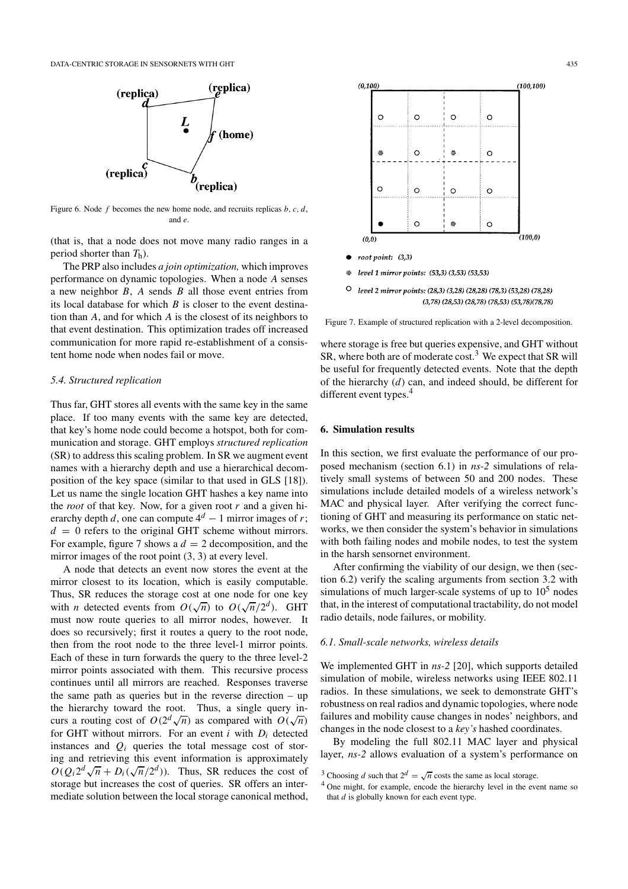

Figure 6. Node *f* becomes the new home node, and recruits replicas *b, c, d*, and *e*.

(that is, that a node does not move many radio ranges in a period shorter than *T*h).

The PRP also includes *a join optimization,* which improves performance on dynamic topologies. When a node *A* senses a new neighbor *B*, *A* sends *B* all those event entries from its local database for which *B* is closer to the event destination than *A*, and for which *A* is the closest of its neighbors to that event destination. This optimization trades off increased communication for more rapid re-establishment of a consistent home node when nodes fail or move.

#### *5.4. Structured replication*

Thus far, GHT stores all events with the same key in the same place. If too many events with the same key are detected, that key's home node could become a hotspot, both for communication and storage. GHT employs *structured replication* (SR) to address this scaling problem. In SR we augment event names with a hierarchy depth and use a hierarchical decomposition of the key space (similar to that used in GLS [18]). Let us name the single location GHT hashes a key name into the *root* of that key. Now, for a given root *r* and a given hierarchy depth *d*, one can compute  $4^d - 1$  mirror images of *r*;  $d = 0$  refers to the original GHT scheme without mirrors. For example, figure 7 shows a  $d = 2$  decomposition, and the mirror images of the root point *(*3*,* 3*)* at every level.

A node that detects an event now stores the event at the mirror closest to its location, which is easily computable. Thus, SR reduces the storage cost at one node for one key with *n* detected events from  $O(\sqrt{n})$  to  $O(\sqrt{n}/2^d)$ . GHT must now route queries to all mirror nodes, however. It does so recursively; first it routes a query to the root node, then from the root node to the three level-1 mirror points. Each of these in turn forwards the query to the three level-2 mirror points associated with them. This recursive process continues until all mirrors are reached. Responses traverse the same path as queries but in the reverse direction – up the hierarchy toward the root. Thus, a single query incurs a routing cost of  $O(2^d \sqrt{n})$  as compared with  $O(\sqrt{n})$ for GHT without mirrors. For an event  $i$  with  $D_i$  detected instances and  $Q_i$  queries the total message cost of storing and retrieving this event information is approximately  $O(Q_i 2^d \sqrt{n} + D_i (\sqrt{n}/2^d))$ . Thus, SR reduces the cost of storage but increases the cost of queries. SR offers an intermediate solution between the local storage canonical method,



Figure 7. Example of structured replication with a 2-level decomposition.

where storage is free but queries expensive, and GHT without SR, where both are of moderate cost.<sup>3</sup> We expect that SR will be useful for frequently detected events. Note that the depth of the hierarchy (*d*) can, and indeed should, be different for different event types.<sup>4</sup>

#### **6. Simulation results**

In this section, we first evaluate the performance of our proposed mechanism (section 6.1) in *ns-2* simulations of relatively small systems of between 50 and 200 nodes. These simulations include detailed models of a wireless network's MAC and physical layer. After verifying the correct functioning of GHT and measuring its performance on static networks, we then consider the system's behavior in simulations with both failing nodes and mobile nodes, to test the system in the harsh sensornet environment.

After confirming the viability of our design, we then (section 6.2) verify the scaling arguments from section 3.2 with simulations of much larger-scale systems of up to  $10<sup>5</sup>$  nodes that, in the interest of computational tractability, do not model radio details, node failures, or mobility.

#### *6.1. Small-scale networks, wireless details*

We implemented GHT in *ns-2* [20], which supports detailed simulation of mobile, wireless networks using IEEE 802.11 radios. In these simulations, we seek to demonstrate GHT's robustness on real radios and dynamic topologies, where node failures and mobility cause changes in nodes' neighbors, and changes in the node closest to a *key's* hashed coordinates.

By modeling the full 802.11 MAC layer and physical layer, *ns-2* allows evaluation of a system's performance on

<sup>&</sup>lt;sup>3</sup> Choosing *d* such that  $2^d = \sqrt{n}$  costs the same as local storage.

<sup>&</sup>lt;sup>4</sup> One might, for example, encode the hierarchy level in the event name so that *d* is globally known for each event type.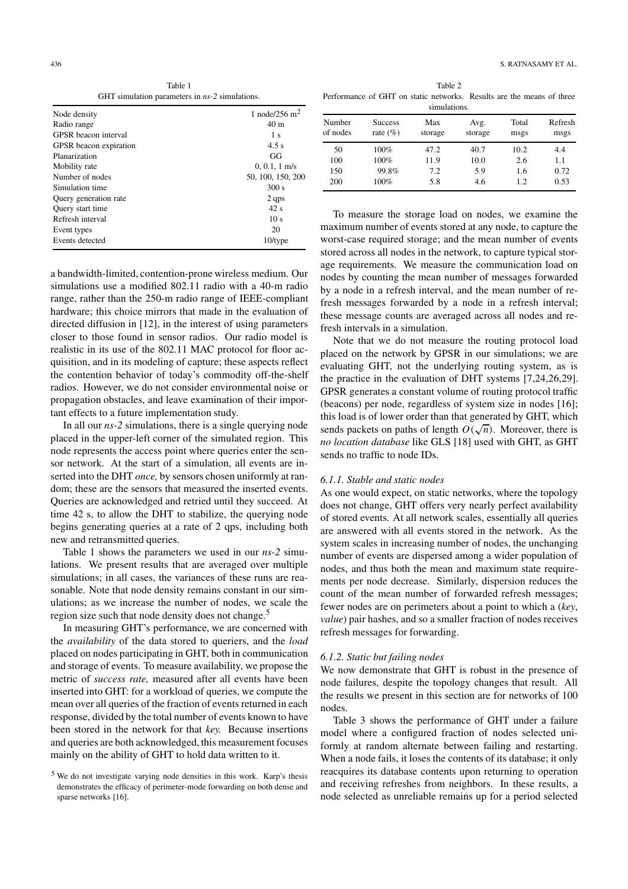Table 1 GHT simulation parameters in *ns-2* simulations.

| Node density                  | 1 node/256 m <sup>2</sup> |
|-------------------------------|---------------------------|
| Radio range                   | 40 <sub>m</sub>           |
| <b>GPSR</b> beacon interval   | 1 <sub>s</sub>            |
| <b>GPSR</b> beacon expiration | 4.5 s                     |
| Planarization                 | GG                        |
| Mobility rate                 | $0, 0.1, 1 \text{ m/s}$   |
| Number of nodes               | 50, 100, 150, 200         |
| Simulation time               | 300 s                     |
| Query generation rate         | 2 qps                     |
| Query start time              | 42s                       |
| Refresh interval              | 10 <sub>s</sub>           |
| Event types                   | 20                        |
| Events detected               | $10$ /type                |
|                               |                           |

a bandwidth-limited, contention-prone wireless medium. Our simulations use a modified 802.11 radio with a 40-m radio range, rather than the 250-m radio range of IEEE-compliant hardware; this choice mirrors that made in the evaluation of directed diffusion in [12], in the interest of using parameters closer to those found in sensor radios. Our radio model is realistic in its use of the 802.11 MAC protocol for floor acquisition, and in its modeling of capture; these aspects reflect the contention behavior of today's commodity off-the-shelf radios. However, we do not consider environmental noise or propagation obstacles, and leave examination of their important effects to a future implementation study.

In all our *ns-2* simulations, there is a single querying node placed in the upper-left corner of the simulated region. This node represents the access point where queries enter the sensor network. At the start of a simulation, all events are inserted into the DHT *once,* by sensors chosen uniformly at random; these are the sensors that measured the inserted events. Queries are acknowledged and retried until they succeed. At time 42 s, to allow the DHT to stabilize, the querying node begins generating queries at a rate of 2 qps, including both new and retransmitted queries.

Table 1 shows the parameters we used in our *ns-2* simulations. We present results that are averaged over multiple simulations; in all cases, the variances of these runs are reasonable. Note that node density remains constant in our simulations; as we increase the number of nodes, we scale the region size such that node density does not change.<sup>5</sup>

In measuring GHT's performance, we are concerned with the *availability* of the data stored to queriers, and the *load* placed on nodes participating in GHT, both in communication and storage of events. To measure availability, we propose the metric of *success rate,* measured after all events have been inserted into GHT: for a workload of queries, we compute the mean over all queries of the fraction of events returned in each response, divided by the total number of events known to have been stored in the network for that *key.* Because insertions and queries are both acknowledged, this measurement focuses mainly on the ability of GHT to hold data written to it.

Table 2 Performance of GHT on static networks. Results are the means of three simulations.

| минитациям.        |                                |                |                 |               |                 |
|--------------------|--------------------------------|----------------|-----------------|---------------|-----------------|
| Number<br>of nodes | <b>Success</b><br>rate $(\% )$ | Max<br>storage | Avg.<br>storage | Total<br>msgs | Refresh<br>msgs |
| 50                 | $100\%$                        | 47.2           | 40.7            | 10.2          | 4.4             |
| 100                | 100%                           | 11.9           | 10.0            | 2.6           | 1.1             |
| 150                | 99.8%                          | 7.2            | 5.9             | 1.6           | 0.72            |
| 200                | 100%                           | 5.8            | 4.6             | 1.2           | 0.53            |

To measure the storage load on nodes, we examine the maximum number of events stored at any node, to capture the worst-case required storage; and the mean number of events stored across all nodes in the network, to capture typical storage requirements. We measure the communication load on nodes by counting the mean number of messages forwarded by a node in a refresh interval, and the mean number of refresh messages forwarded by a node in a refresh interval; these message counts are averaged across all nodes and refresh intervals in a simulation.

Note that we do not measure the routing protocol load placed on the network by GPSR in our simulations; we are evaluating GHT, not the underlying routing system, as is the practice in the evaluation of DHT systems [7,24,26,29]. GPSR generates a constant volume of routing protocol traffic (beacons) per node, regardless of system size in nodes [16]; this load is of lower order than that generated by GHT, which sends packets on paths of length  $O(\sqrt{n})$ . Moreover, there is *no location database* like GLS [18] used with GHT, as GHT sends no traffic to node IDs.

#### *6.1.1. Stable and static nodes*

As one would expect, on static networks, where the topology does not change, GHT offers very nearly perfect availability of stored events. At all network scales, essentially all queries are answered with all events stored in the network. As the system scales in increasing number of nodes, the unchanging number of events are dispersed among a wider population of nodes, and thus both the mean and maximum state requirements per node decrease. Similarly, dispersion reduces the count of the mean number of forwarded refresh messages; fewer nodes are on perimeters about a point to which a (*key*, *value*) pair hashes, and so a smaller fraction of nodes receives refresh messages for forwarding.

#### *6.1.2. Static but failing nodes*

We now demonstrate that GHT is robust in the presence of node failures, despite the topology changes that result. All the results we present in this section are for networks of 100 nodes.

Table 3 shows the performance of GHT under a failure model where a configured fraction of nodes selected uniformly at random alternate between failing and restarting. When a node fails, it loses the contents of its database; it only reacquires its database contents upon returning to operation and receiving refreshes from neighbors. In these results, a node selected as unreliable remains up for a period selected

<sup>5</sup> We do not investigate varying node densities in this work. Karp's thesis demonstrates the efficacy of perimeter-mode forwarding on both dense and sparse networks [16].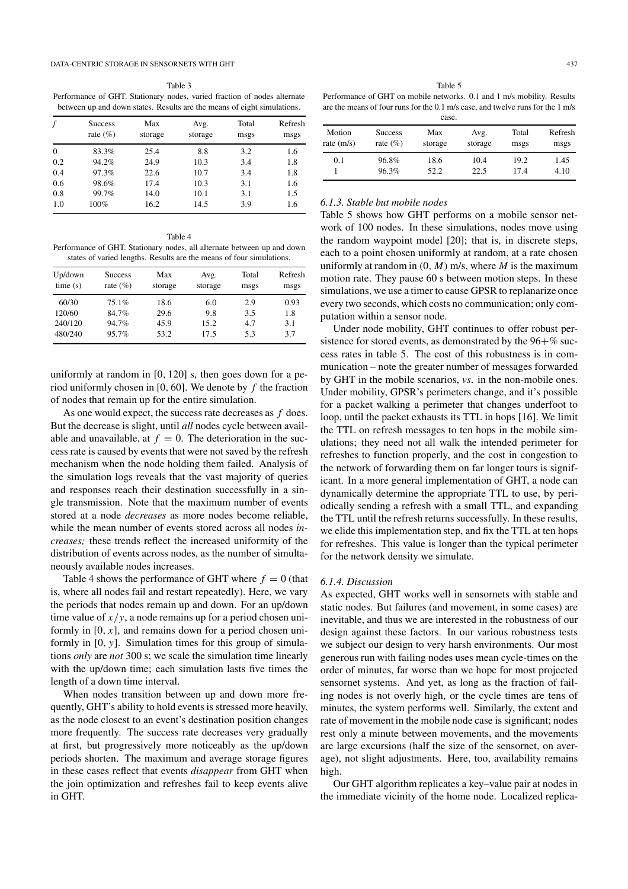Table 3 Performance of GHT. Stationary nodes, varied fraction of nodes alternate between up and down states. Results are the means of eight simulations.

| $\boldsymbol{f}$ | <b>Success</b><br>rate $(\% )$ | Max<br>storage | Avg.<br>storage | Total<br>msgs | Refresh<br>msgs |
|------------------|--------------------------------|----------------|-----------------|---------------|-----------------|
| $\theta$         | 83.3%                          | 25.4           | 8.8             | 3.2           | 1.6             |
| 0.2              | 94.2%                          | 24.9           | 10.3            | 3.4           | 1.8             |
| 0.4              | 97.3%                          | 22.6           | 10.7            | 3.4           | 1.8             |
| 0.6              | 98.6%                          | 17.4           | 10.3            | 3.1           | 1.6             |
| 0.8              | 99.7%                          | 14.0           | 10.1            | 3.1           | 1.5             |
| 1.0              | 100%                           | 16.2           | 14.5            | 3.9           | 1.6             |
|                  |                                |                |                 |               |                 |

Table 4

Performance of GHT. Stationary nodes, all alternate between up and down states of varied lengths. Results are the means of four simulations.

| Up/down<br>time(s) | <b>Success</b><br>rate $(\% )$ | Max<br>storage | Avg.<br>storage | Total<br>msgs | Refresh<br>msgs |
|--------------------|--------------------------------|----------------|-----------------|---------------|-----------------|
| 60/30              | 75.1%                          | 18.6           | 6.0             | 2.9           | 0.93            |
| 120/60             | 84.7%                          | 29.6           | 9.8             | 3.5           | 1.8             |
| 240/120            | $94.7\%$                       | 45.9           | 15.2            | 4.7           | 3.1             |
| 480/240            | 95.7%                          | 53.2           | 17.5            | 5.3           | 3.7             |

uniformly at random in [0*,* 120] s, then goes down for a period uniformly chosen in [0*,* 60]. We denote by *f* the fraction of nodes that remain up for the entire simulation.

As one would expect, the success rate decreases as *f* does. But the decrease is slight, until *all* nodes cycle between available and unavailable, at  $f = 0$ . The deterioration in the success rate is caused by events that were not saved by the refresh mechanism when the node holding them failed. Analysis of the simulation logs reveals that the vast majority of queries and responses reach their destination successfully in a single transmission. Note that the maximum number of events stored at a node *decreases* as more nodes become reliable, while the mean number of events stored across all nodes *increases;* these trends reflect the increased uniformity of the distribution of events across nodes, as the number of simultaneously available nodes increases.

Table 4 shows the performance of GHT where  $f = 0$  (that is, where all nodes fail and restart repeatedly). Here, we vary the periods that nodes remain up and down. For an up/down time value of  $x/y$ , a node remains up for a period chosen uniformly in [0*, x*], and remains down for a period chosen uniformly in [0*, y*]. Simulation times for this group of simulations *only* are *not* 300 s; we scale the simulation time linearly with the up/down time; each simulation lasts five times the length of a down time interval.

When nodes transition between up and down more frequently, GHT's ability to hold events is stressed more heavily, as the node closest to an event's destination position changes more frequently. The success rate decreases very gradually at first, but progressively more noticeably as the up/down periods shorten. The maximum and average storage figures in these cases reflect that events *disappear* from GHT when the join optimization and refreshes fail to keep events alive in GHT.

Table 5 Performance of GHT on mobile networks. 0.1 and 1 m/s mobility. Results are the means of four runs for the 0.1 m/s case, and twelve runs for the 1 m/s

| case.        |                |         |         |       |         |
|--------------|----------------|---------|---------|-------|---------|
| Motion       | <b>Success</b> | Max     | Avg.    | Total | Refresh |
| rate $(m/s)$ | rate $(\% )$   | storage | storage | msgs  | msgs    |
| 0.1          | 96.8%          | 18.6    | 10.4    | 19.2  | 1.45    |
|              | 96.3%          | 52.2    | 22.5    | 17.4  | 4.10    |

#### *6.1.3. Stable but mobile nodes*

Table 5 shows how GHT performs on a mobile sensor network of 100 nodes. In these simulations, nodes move using the random waypoint model [20]; that is, in discrete steps, each to a point chosen uniformly at random, at a rate chosen uniformly at random in  $(0, M)$  m/s, where *M* is the maximum motion rate. They pause 60 s between motion steps. In these simulations, we use a timer to cause GPSR to replanarize once every two seconds, which costs no communication; only computation within a sensor node.

Under node mobility, GHT continues to offer robust persistence for stored events, as demonstrated by the 96+% success rates in table 5. The cost of this robustness is in communication – note the greater number of messages forwarded by GHT in the mobile scenarios, *vs*. in the non-mobile ones. Under mobility, GPSR's perimeters change, and it's possible for a packet walking a perimeter that changes underfoot to loop, until the packet exhausts its TTL in hops [16]. We limit the TTL on refresh messages to ten hops in the mobile simulations; they need not all walk the intended perimeter for refreshes to function properly, and the cost in congestion to the network of forwarding them on far longer tours is significant. In a more general implementation of GHT, a node can dynamically determine the appropriate TTL to use, by periodically sending a refresh with a small TTL, and expanding the TTL until the refresh returns successfully. In these results, we elide this implementation step, and fix the TTL at ten hops for refreshes. This value is longer than the typical perimeter for the network density we simulate.

#### *6.1.4. Discussion*

As expected, GHT works well in sensornets with stable and static nodes. But failures (and movement, in some cases) are inevitable, and thus we are interested in the robustness of our design against these factors. In our various robustness tests we subject our design to very harsh environments. Our most generous run with failing nodes uses mean cycle-times on the order of minutes, far worse than we hope for most projected sensornet systems. And yet, as long as the fraction of failing nodes is not overly high, or the cycle times are tens of minutes, the system performs well. Similarly, the extent and rate of movement in the mobile node case is significant; nodes rest only a minute between movements, and the movements are large excursions (half the size of the sensornet, on average), not slight adjustments. Here, too, availability remains high.

Our GHT algorithm replicates a key–value pair at nodes in the immediate vicinity of the home node. Localized replica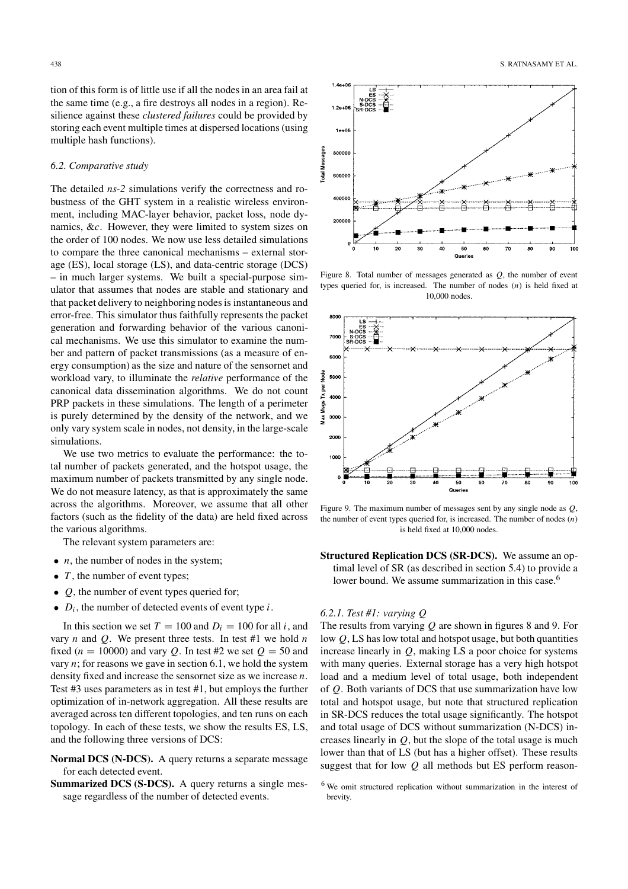tion of this form is of little use if all the nodes in an area fail at the same time (e.g., a fire destroys all nodes in a region). Resilience against these *clustered failures* could be provided by storing each event multiple times at dispersed locations (using multiple hash functions).

#### *6.2. Comparative study*

The detailed *ns-2* simulations verify the correctness and robustness of the GHT system in a realistic wireless environment, including MAC-layer behavior, packet loss, node dynamics, &*c*. However, they were limited to system sizes on the order of 100 nodes. We now use less detailed simulations to compare the three canonical mechanisms – external storage (ES), local storage (LS), and data-centric storage (DCS) – in much larger systems. We built a special-purpose simulator that assumes that nodes are stable and stationary and that packet delivery to neighboring nodes is instantaneous and error-free. This simulator thus faithfully represents the packet generation and forwarding behavior of the various canonical mechanisms. We use this simulator to examine the number and pattern of packet transmissions (as a measure of energy consumption) as the size and nature of the sensornet and workload vary, to illuminate the *relative* performance of the canonical data dissemination algorithms. We do not count PRP packets in these simulations. The length of a perimeter is purely determined by the density of the network, and we only vary system scale in nodes, not density, in the large-scale simulations.

We use two metrics to evaluate the performance: the total number of packets generated, and the hotspot usage, the maximum number of packets transmitted by any single node. We do not measure latency, as that is approximately the same across the algorithms. Moreover, we assume that all other factors (such as the fidelity of the data) are held fixed across the various algorithms.

The relevant system parameters are:

- $\bullet$  *n*, the number of nodes in the system;
- *T*, the number of event types;
- *Q*, the number of event types queried for;
- *Di*, the number of detected events of event type *i*.

In this section we set  $T = 100$  and  $D_i = 100$  for all *i*, and vary *n* and *Q*. We present three tests. In test #1 we hold *n* fixed  $(n = 10000)$  and vary Q. In test #2 we set  $Q = 50$  and vary *n*; for reasons we gave in section 6.1, we hold the system density fixed and increase the sensornet size as we increase *n*. Test #3 uses parameters as in test #1, but employs the further optimization of in-network aggregation. All these results are averaged across ten different topologies, and ten runs on each topology. In each of these tests, we show the results ES, LS, and the following three versions of DCS:

- **Normal DCS (N-DCS).** A query returns a separate message for each detected event.
- **Summarized DCS (S-DCS).** A query returns a single message regardless of the number of detected events.



Figure 8. Total number of messages generated as *Q*, the number of event types queried for, is increased. The number of nodes *(n)* is held fixed at 10,000 nodes.



Figure 9. The maximum number of messages sent by any single node as *Q*, the number of event types queried for, is increased. The number of nodes (*n*) is held fixed at 10,000 nodes.

**Structured Replication DCS (SR-DCS).** We assume an optimal level of SR (as described in section 5.4) to provide a lower bound. We assume summarization in this case.<sup>6</sup>

#### *6.2.1. Test #1: varying Q*

The results from varying *Q* are shown in figures 8 and 9. For low *Q*, LS has low total and hotspot usage, but both quantities increase linearly in *Q*, making LS a poor choice for systems with many queries. External storage has a very high hotspot load and a medium level of total usage, both independent of *Q*. Both variants of DCS that use summarization have low total and hotspot usage, but note that structured replication in SR-DCS reduces the total usage significantly. The hotspot and total usage of DCS without summarization (N-DCS) increases linearly in *Q*, but the slope of the total usage is much lower than that of LS (but has a higher offset). These results suggest that for low *Q* all methods but ES perform reason-

<sup>6</sup> We omit structured replication without summarization in the interest of brevity.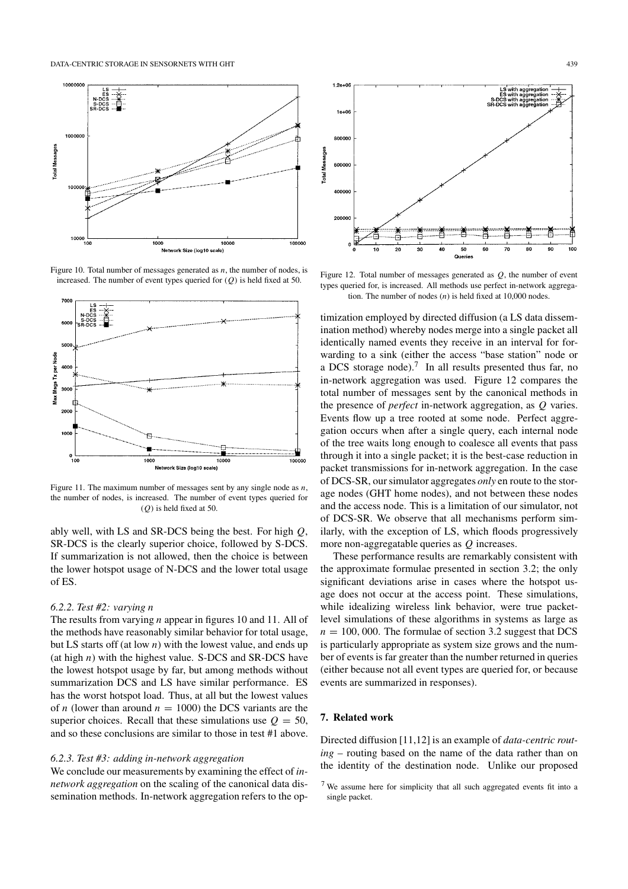

Figure 10. Total number of messages generated as  $n$ , the number of nodes, is increased. The number of event types queried for *(Q)* is held fixed at 50.



Figure 11. The maximum number of messages sent by any single node as *n*, the number of nodes, is increased. The number of event types queried for *(Q)* is held fixed at 50.

ably well, with LS and SR-DCS being the best. For high *Q*, SR-DCS is the clearly superior choice, followed by S-DCS. If summarization is not allowed, then the choice is between the lower hotspot usage of N-DCS and the lower total usage of ES.

#### *6.2.2. Test #2: varying n*

The results from varying *n* appear in figures 10 and 11. All of the methods have reasonably similar behavior for total usage, but LS starts off (at low *n*) with the lowest value, and ends up (at high *n*) with the highest value. S-DCS and SR-DCS have the lowest hotspot usage by far, but among methods without summarization DCS and LS have similar performance. ES has the worst hotspot load. Thus, at all but the lowest values of *n* (lower than around  $n = 1000$ ) the DCS variants are the superior choices. Recall that these simulations use  $Q = 50$ , and so these conclusions are similar to those in test #1 above.

#### *6.2.3. Test #3: adding in-network aggregation*

We conclude our measurements by examining the effect of *innetwork aggregation* on the scaling of the canonical data dissemination methods. In-network aggregation refers to the op-



Figure 12. Total number of messages generated as *Q*, the number of event types queried for, is increased. All methods use perfect in-network aggregation. The number of nodes (*n*) is held fixed at 10,000 nodes.

timization employed by directed diffusion (a LS data dissemination method) whereby nodes merge into a single packet all identically named events they receive in an interval for forwarding to a sink (either the access "base station" node or a DCS storage node).<sup>7</sup> In all results presented thus far, no in-network aggregation was used. Figure 12 compares the total number of messages sent by the canonical methods in the presence of *perfect* in-network aggregation, as *Q* varies. Events flow up a tree rooted at some node. Perfect aggregation occurs when after a single query, each internal node of the tree waits long enough to coalesce all events that pass through it into a single packet; it is the best-case reduction in packet transmissions for in-network aggregation. In the case of DCS-SR, our simulator aggregates *only* en route to the storage nodes (GHT home nodes), and not between these nodes and the access node. This is a limitation of our simulator, not of DCS-SR. We observe that all mechanisms perform similarly, with the exception of LS, which floods progressively more non-aggregatable queries as *Q* increases.

These performance results are remarkably consistent with the approximate formulae presented in section 3.2; the only significant deviations arise in cases where the hotspot usage does not occur at the access point. These simulations, while idealizing wireless link behavior, were true packetlevel simulations of these algorithms in systems as large as  $n = 100,000$ . The formulae of section 3.2 suggest that DCS is particularly appropriate as system size grows and the number of events is far greater than the number returned in queries (either because not all event types are queried for, or because events are summarized in responses).

#### **7. Related work**

Directed diffusion [11,12] is an example of *data-centric routing* – routing based on the name of the data rather than on the identity of the destination node. Unlike our proposed

<sup>7</sup> We assume here for simplicity that all such aggregated events fit into a single packet.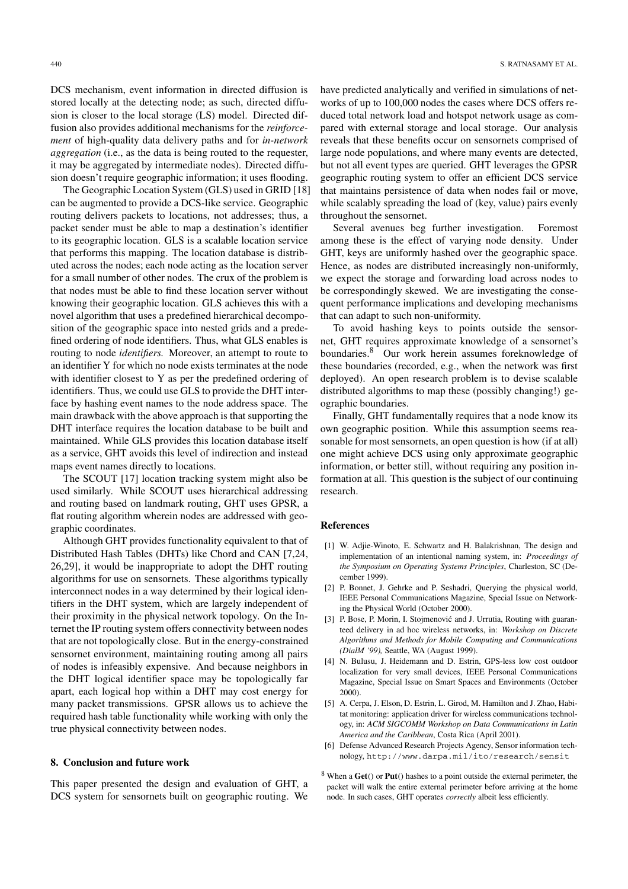DCS mechanism, event information in directed diffusion is stored locally at the detecting node; as such, directed diffusion is closer to the local storage (LS) model. Directed diffusion also provides additional mechanisms for the *reinforcement* of high-quality data delivery paths and for *in-network aggregation* (i.e., as the data is being routed to the requester, it may be aggregated by intermediate nodes). Directed diffusion doesn't require geographic information; it uses flooding.

The Geographic Location System (GLS) used in GRID [18] can be augmented to provide a DCS-like service. Geographic routing delivers packets to locations, not addresses; thus, a packet sender must be able to map a destination's identifier to its geographic location. GLS is a scalable location service that performs this mapping. The location database is distributed across the nodes; each node acting as the location server for a small number of other nodes. The crux of the problem is that nodes must be able to find these location server without knowing their geographic location. GLS achieves this with a novel algorithm that uses a predefined hierarchical decomposition of the geographic space into nested grids and a predefined ordering of node identifiers. Thus, what GLS enables is routing to node *identifiers.* Moreover, an attempt to route to an identifier Y for which no node exists terminates at the node with identifier closest to Y as per the predefined ordering of identifiers. Thus, we could use GLS to provide the DHT interface by hashing event names to the node address space. The main drawback with the above approach is that supporting the DHT interface requires the location database to be built and maintained. While GLS provides this location database itself as a service, GHT avoids this level of indirection and instead maps event names directly to locations.

The SCOUT [17] location tracking system might also be used similarly. While SCOUT uses hierarchical addressing and routing based on landmark routing, GHT uses GPSR, a flat routing algorithm wherein nodes are addressed with geographic coordinates.

Although GHT provides functionality equivalent to that of Distributed Hash Tables (DHTs) like Chord and CAN [7,24, 26,29], it would be inappropriate to adopt the DHT routing algorithms for use on sensornets. These algorithms typically interconnect nodes in a way determined by their logical identifiers in the DHT system, which are largely independent of their proximity in the physical network topology. On the Internet the IP routing system offers connectivity between nodes that are not topologically close. But in the energy-constrained sensornet environment, maintaining routing among all pairs of nodes is infeasibly expensive. And because neighbors in the DHT logical identifier space may be topologically far apart, each logical hop within a DHT may cost energy for many packet transmissions. GPSR allows us to achieve the required hash table functionality while working with only the true physical connectivity between nodes.

#### **8. Conclusion and future work**

This paper presented the design and evaluation of GHT, a DCS system for sensornets built on geographic routing. We

have predicted analytically and verified in simulations of networks of up to 100,000 nodes the cases where DCS offers reduced total network load and hotspot network usage as compared with external storage and local storage. Our analysis reveals that these benefits occur on sensornets comprised of large node populations, and where many events are detected, but not all event types are queried. GHT leverages the GPSR geographic routing system to offer an efficient DCS service that maintains persistence of data when nodes fail or move, while scalably spreading the load of (key, value) pairs evenly throughout the sensornet.

Several avenues beg further investigation. Foremost among these is the effect of varying node density. Under GHT, keys are uniformly hashed over the geographic space. Hence, as nodes are distributed increasingly non-uniformly, we expect the storage and forwarding load across nodes to be correspondingly skewed. We are investigating the consequent performance implications and developing mechanisms that can adapt to such non-uniformity.

To avoid hashing keys to points outside the sensornet, GHT requires approximate knowledge of a sensornet's boundaries.<sup>8</sup> Our work herein assumes foreknowledge of these boundaries (recorded, e.g., when the network was first deployed). An open research problem is to devise scalable distributed algorithms to map these (possibly changing!) geographic boundaries.

Finally, GHT fundamentally requires that a node know its own geographic position. While this assumption seems reasonable for most sensornets, an open question is how (if at all) one might achieve DCS using only approximate geographic information, or better still, without requiring any position information at all. This question is the subject of our continuing research.

#### **References**

- [1] W. Adjie-Winoto, E. Schwartz and H. Balakrishnan, The design and implementation of an intentional naming system, in: *Proceedings of the Symposium on Operating Systems Principles*, Charleston, SC (December 1999).
- [2] P. Bonnet, J. Gehrke and P. Seshadri, Querying the physical world, IEEE Personal Communications Magazine, Special Issue on Networking the Physical World (October 2000).
- [3] P. Bose, P. Morin, I. Stojmenović and J. Urrutia, Routing with guaranteed delivery in ad hoc wireless networks, in: *Workshop on Discrete Algorithms and Methods for Mobile Computing and Communications (DialM '99),* Seattle, WA (August 1999).
- [4] N. Bulusu, J. Heidemann and D. Estrin, GPS-less low cost outdoor localization for very small devices, IEEE Personal Communications Magazine, Special Issue on Smart Spaces and Environments (October 2000).
- [5] A. Cerpa, J. Elson, D. Estrin, L. Girod, M. Hamilton and J. Zhao, Habitat monitoring: application driver for wireless communications technology, in: *ACM SIGCOMM Workshop on Data Communications in Latin America and the Caribbean*, Costa Rica (April 2001).
- [6] Defense Advanced Research Projects Agency, Sensor information technology, http://www.darpa.mil/ito/research/sensit
- <sup>8</sup> When a **Get***()* or **Put***()* hashes to a point outside the external perimeter, the packet will walk the entire external perimeter before arriving at the home node. In such cases, GHT operates *correctly* albeit less efficiently.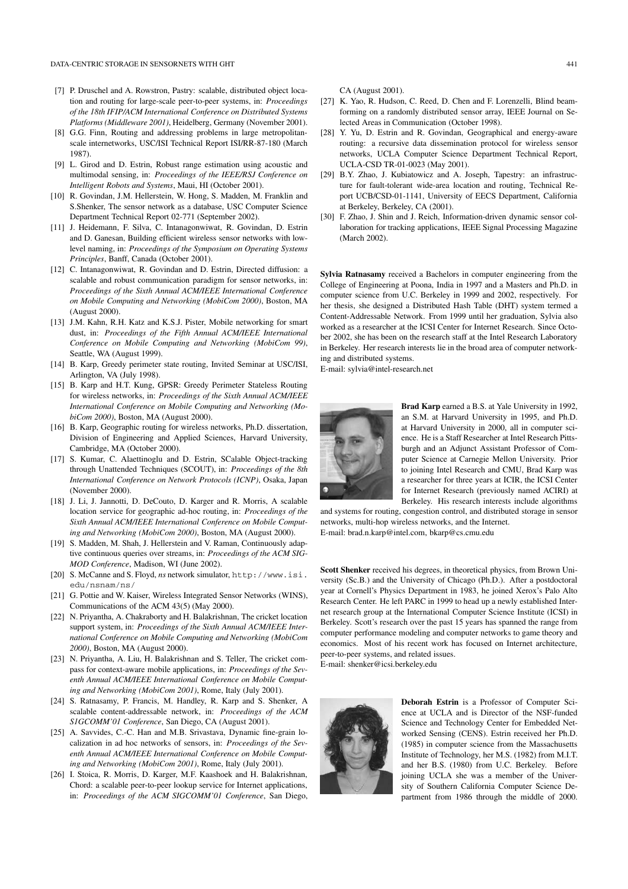- [7] P. Druschel and A. Rowstron, Pastry: scalable, distributed object location and routing for large-scale peer-to-peer systems, in: *Proceedings of the 18th IFIP/ACM International Conference on Distributed Systems Platforms (Middleware 2001)*, Heidelberg, Germany (November 2001).
- [8] G.G. Finn, Routing and addressing problems in large metropolitanscale internetworks, USC/ISI Technical Report ISI/RR-87-180 (March 1987).
- [9] L. Girod and D. Estrin, Robust range estimation using acoustic and multimodal sensing, in: *Proceedings of the IEEE/RSJ Conference on Intelligent Robots and Systems*, Maui, HI (October 2001).
- [10] R. Govindan, J.M. Hellerstein, W. Hong, S. Madden, M. Franklin and S.Shenker, The sensor network as a database, USC Computer Science Department Technical Report 02-771 (September 2002).
- [11] J. Heidemann, F. Silva, C. Intanagonwiwat, R. Govindan, D. Estrin and D. Ganesan, Building efficient wireless sensor networks with lowlevel naming, in: *Proceedings of the Symposium on Operating Systems Principles*, Banff, Canada (October 2001).
- [12] C. Intanagonwiwat, R. Govindan and D. Estrin, Directed diffusion: a scalable and robust communication paradigm for sensor networks, in: *Proceedings of the Sixth Annual ACM/IEEE International Conference on Mobile Computing and Networking (MobiCom 2000)*, Boston, MA (August 2000).
- [13] J.M. Kahn, R.H. Katz and K.S.J. Pister, Mobile networking for smart dust, in: *Proceedings of the Fifth Annual ACM/IEEE International Conference on Mobile Computing and Networking (MobiCom 99)*, Seattle, WA (August 1999).
- [14] B. Karp, Greedy perimeter state routing, Invited Seminar at USC/ISI, Arlington, VA (July 1998).
- [15] B. Karp and H.T. Kung, GPSR: Greedy Perimeter Stateless Routing for wireless networks, in: *Proceedings of the Sixth Annual ACM/IEEE International Conference on Mobile Computing and Networking (MobiCom 2000)*, Boston, MA (August 2000).
- [16] B. Karp, Geographic routing for wireless networks, Ph.D. dissertation, Division of Engineering and Applied Sciences, Harvard University, Cambridge, MA (October 2000).
- [17] S. Kumar, C. Alaettinoglu and D. Estrin, SCalable Object-tracking through Unattended Techniques (SCOUT), in: *Proceedings of the 8th International Conference on Network Protocols (ICNP)*, Osaka, Japan (November 2000).
- [18] J. Li, J. Jannotti, D. DeCouto, D. Karger and R. Morris, A scalable location service for geographic ad-hoc routing, in: *Proceedings of the Sixth Annual ACM/IEEE International Conference on Mobile Computing and Networking (MobiCom 2000)*, Boston, MA (August 2000).
- [19] S. Madden, M. Shah, J. Hellerstein and V. Raman, Continuously adaptive continuous queries over streams, in: *Proceedings of the ACM SIG-MOD Conference*, Madison, WI (June 2002).
- [20] S. McCanne and S. Floyd, *ns* network simulator, http://www.isi. edu/nsnam/ns/
- [21] G. Pottie and W. Kaiser, Wireless Integrated Sensor Networks (WINS), Communications of the ACM 43(5) (May 2000).
- [22] N. Privantha, A. Chakraborty and H. Balakrishnan, The cricket location support system, in: *Proceedings of the Sixth Annual ACM/IEEE International Conference on Mobile Computing and Networking (MobiCom 2000)*, Boston, MA (August 2000).
- [23] N. Priyantha, A. Liu, H. Balakrishnan and S. Teller, The cricket compass for context-aware mobile applications, in: *Proceedings of the Seventh Annual ACM/IEEE International Conference on Mobile Computing and Networking (MobiCom 2001)*, Rome, Italy (July 2001).
- [24] S. Ratnasamy, P. Francis, M. Handley, R. Karp and S. Shenker, A scalable content-addressable network, in: *Proceedings of the ACM S1GCOMM'01 Conference*, San Diego, CA (August 2001).
- [25] A. Savvides, C.-C. Han and M.B. Srivastava, Dynamic fine-grain localization in ad hoc networks of sensors, in: *Proceedings of the Seventh Annual ACM/IEEE International Conference on Mobile Computing and Networking (MobiCom 2001)*, Rome, Italy (July 2001).
- [26] I. Stoica, R. Morris, D. Karger, M.F. Kaashoek and H. Balakrishnan, Chord: a scalable peer-to-peer lookup service for Internet applications, in: *Proceedings of the ACM SIGCOMM'01 Conference*, San Diego,

CA (August 2001).

- [27] K. Yao, R. Hudson, C. Reed, D. Chen and F. Lorenzelli, Blind beamforming on a randomly distributed sensor array, IEEE Journal on Selected Areas in Communication (October 1998).
- [28] Y. Yu, D. Estrin and R. Govindan, Geographical and energy-aware routing: a recursive data dissemination protocol for wireless sensor networks, UCLA Computer Science Department Technical Report, UCLA-CSD TR-01-0023 (May 2001).
- [29] B.Y. Zhao, J. Kubiatowicz and A. Joseph, Tapestry: an infrastructure for fault-tolerant wide-area location and routing, Technical Report UCB/CSD-01-1141, University of EECS Department, California at Berkeley, Berkeley, CA (2001).
- [30] F. Zhao, J. Shin and J. Reich, Information-driven dynamic sensor collaboration for tracking applications, IEEE Signal Processing Magazine (March 2002).

**Sylvia Ratnasamy** received a Bachelors in computer engineering from the College of Engineering at Poona, India in 1997 and a Masters and Ph.D. in computer science from U.C. Berkeley in 1999 and 2002, respectively. For her thesis, she designed a Distributed Hash Table (DHT) system termed a Content-Addressable Network. From 1999 until her graduation, Sylvia also worked as a researcher at the ICSI Center for Internet Research. Since October 2002, she has been on the research staff at the Intel Research Laboratory in Berkeley. Her research interests lie in the broad area of computer networking and distributed systems.

E-mail: sylvia@intel-research.net



**Brad Karp** earned a B.S. at Yale University in 1992, an S.M. at Harvard University in 1995, and Ph.D. at Harvard University in 2000, all in computer science. He is a Staff Researcher at Intel Research Pittsburgh and an Adjunct Assistant Professor of Computer Science at Carnegie Mellon University. Prior to joining Intel Research and CMU, Brad Karp was a researcher for three years at ICIR, the ICSI Center for Internet Research (previously named ACIRI) at Berkeley. His research interests include algorithms

and systems for routing, congestion control, and distributed storage in sensor networks, multi-hop wireless networks, and the Internet. E-mail: brad.n.karp@intel.com, bkarp@cs.cmu.edu

**Scott Shenker** received his degrees, in theoretical physics, from Brown University (Sc.B.) and the University of Chicago (Ph.D.). After a postdoctoral year at Cornell's Physics Department in 1983, he joined Xerox's Palo Alto Research Center. He left PARC in 1999 to head up a newly established Internet research group at the International Computer Science Institute (ICSI) in Berkeley. Scott's research over the past 15 years has spanned the range from computer performance modeling and computer networks to game theory and economics. Most of his recent work has focused on Internet architecture, peer-to-peer systems, and related issues.

E-mail: shenker@icsi.berkeley.edu



**Deborah Estrin** is a Professor of Computer Science at UCLA and is Director of the NSF-funded Science and Technology Center for Embedded Networked Sensing (CENS). Estrin received her Ph.D. (1985) in computer science from the Massachusetts Institute of Technology, her M.S. (1982) from M.I.T. and her B.S. (1980) from U.C. Berkeley. Before joining UCLA she was a member of the University of Southern California Computer Science Department from 1986 through the middle of 2000.